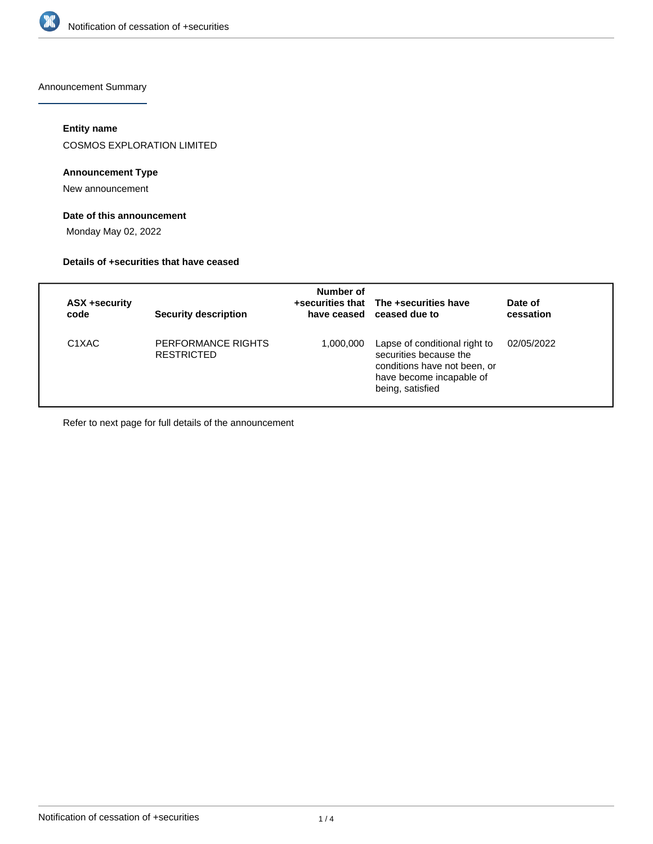

Announcement Summary

### **Entity name**

COSMOS EXPLORATION LIMITED

### **Announcement Type**

New announcement

### **Date of this announcement**

Monday May 02, 2022

#### **Details of +securities that have ceased**

| ASX +security<br>code          | <b>Security description</b>             | Number of | +securities that The +securities have<br>have ceased ceased due to                                                                      | Date of<br>cessation |
|--------------------------------|-----------------------------------------|-----------|-----------------------------------------------------------------------------------------------------------------------------------------|----------------------|
| C <sub>1</sub> X <sub>AC</sub> | PERFORMANCE RIGHTS<br><b>RESTRICTED</b> | 1,000,000 | Lapse of conditional right to<br>securities because the<br>conditions have not been, or<br>have become incapable of<br>being, satisfied | 02/05/2022           |

Refer to next page for full details of the announcement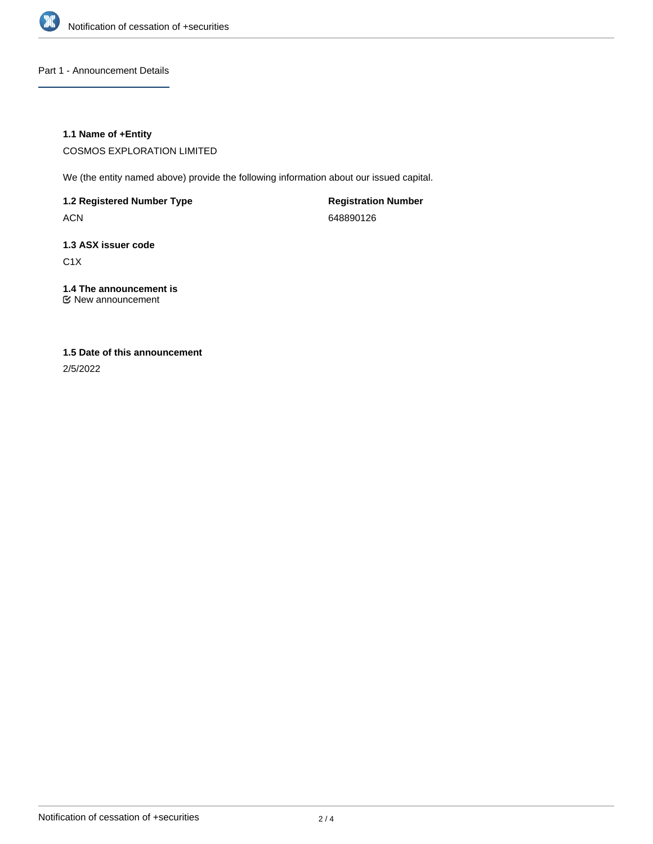

Part 1 - Announcement Details

### **1.1 Name of +Entity**

COSMOS EXPLORATION LIMITED

We (the entity named above) provide the following information about our issued capital.

**1.2 Registered Number Type**

ACN

**Registration Number** 648890126

# **1.3 ASX issuer code**

C1X

# **1.4 The announcement is**

New announcement

## **1.5 Date of this announcement**

2/5/2022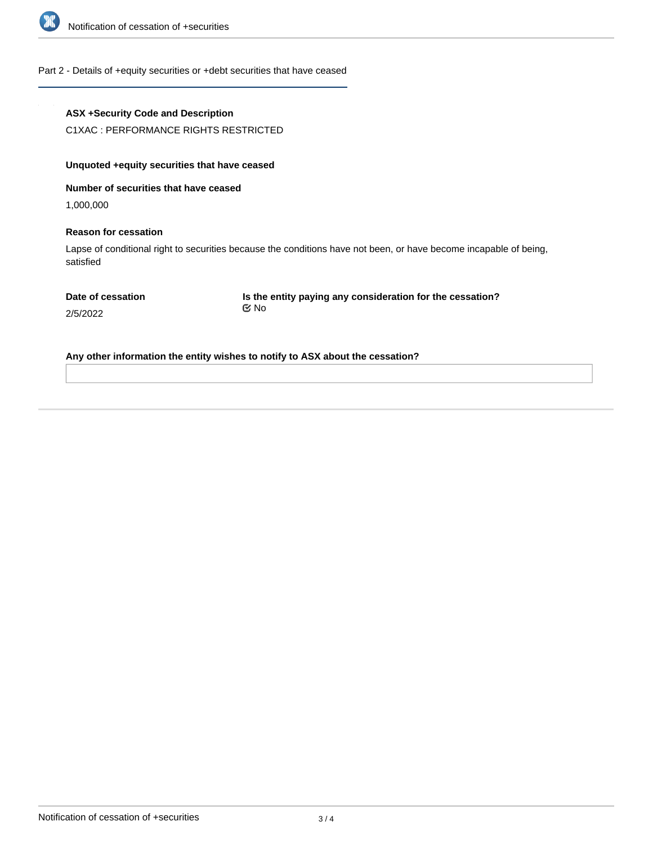

### Part 2 - Details of +equity securities or +debt securities that have ceased

| <b>ASX +Security Code and Description</b>     |                                                                                                                   |
|-----------------------------------------------|-------------------------------------------------------------------------------------------------------------------|
| C1XAC: PERFORMANCE RIGHTS RESTRICTED          |                                                                                                                   |
| Unquoted + equity securities that have ceased |                                                                                                                   |
| Number of securities that have ceased         |                                                                                                                   |
| 1,000,000                                     |                                                                                                                   |
| <b>Reason for cessation</b>                   |                                                                                                                   |
| satisfied                                     | Lapse of conditional right to securities because the conditions have not been, or have become incapable of being, |
| Date of cessation                             | Is the entity paying any consideration for the cessation?                                                         |
| 2/5/2022                                      | ় No                                                                                                              |
|                                               | Any other information the entity wishes to notify to ASX about the cessation?                                     |
|                                               |                                                                                                                   |